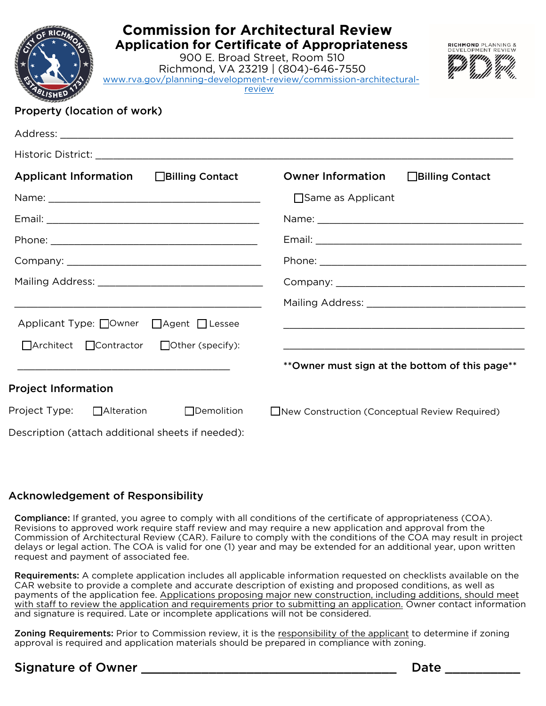| <b>Commission for Architectural Review</b><br><b>Application for Certificate of Appropriateness</b><br>RICHMOND PLANNING &<br>EVELOPMENT REVIEW<br>900 E. Broad Street, Room 510<br>Richmond, VA 23219   (804)-646-7550<br>www.rva.gov/planning-development-review/commission-architectural-<br>review<br>Property (location of work) |                                                 |
|---------------------------------------------------------------------------------------------------------------------------------------------------------------------------------------------------------------------------------------------------------------------------------------------------------------------------------------|-------------------------------------------------|
|                                                                                                                                                                                                                                                                                                                                       |                                                 |
| Applicant Information □Billing Contact                                                                                                                                                                                                                                                                                                | <b>Owner Information</b><br>□Billing Contact    |
|                                                                                                                                                                                                                                                                                                                                       | □ Same as Applicant                             |
|                                                                                                                                                                                                                                                                                                                                       |                                                 |
|                                                                                                                                                                                                                                                                                                                                       |                                                 |
|                                                                                                                                                                                                                                                                                                                                       |                                                 |
|                                                                                                                                                                                                                                                                                                                                       |                                                 |
|                                                                                                                                                                                                                                                                                                                                       |                                                 |
| Applicant Type: Owner □ Agent □ Lessee                                                                                                                                                                                                                                                                                                |                                                 |
| □ Architect □ Contractor<br>$\Box$ Other (specify):                                                                                                                                                                                                                                                                                   |                                                 |
|                                                                                                                                                                                                                                                                                                                                       | ** Owner must sign at the bottom of this page** |
| <b>Project Information</b>                                                                                                                                                                                                                                                                                                            |                                                 |
| Project Type: $\Box$ Alteration<br>$\Box$ Demolition                                                                                                                                                                                                                                                                                  | New Construction (Conceptual Review Required)   |
| Description (attach additional sheets if needed):                                                                                                                                                                                                                                                                                     |                                                 |

#### Acknowledgement of Responsibility

Compliance: If granted, you agree to comply with all conditions of the certificate of appropriateness (COA). Revisions to approved work require staff review and may require a new application and approval from the Commission of Architectural Review (CAR). Failure to comply with the conditions of the COA may result in project delays or legal action. The COA is valid for one (1) year and may be extended for an additional year, upon written request and payment of associated fee.

Requirements: A complete application includes all applicable information requested on checklists available on the CAR website to provide a complete and accurate description of existing and proposed conditions, as well as payments of the application fee. Applications proposing major new construction, including additions, should meet with staff to review the application and requirements prior to submitting an application. Owner contact information and signature is required. Late or incomplete applications will not be considered.

Zoning Requirements: Prior to Commission review, it is the responsibility of the applicant to determine if zoning approval is required and application materials should be prepared in compliance with zoning.

# Signature of Owner \_\_\_\_\_\_\_\_\_\_\_\_\_\_\_\_\_\_\_\_\_\_\_\_\_\_\_\_\_\_\_\_\_\_ Date \_\_\_\_\_\_\_\_\_\_